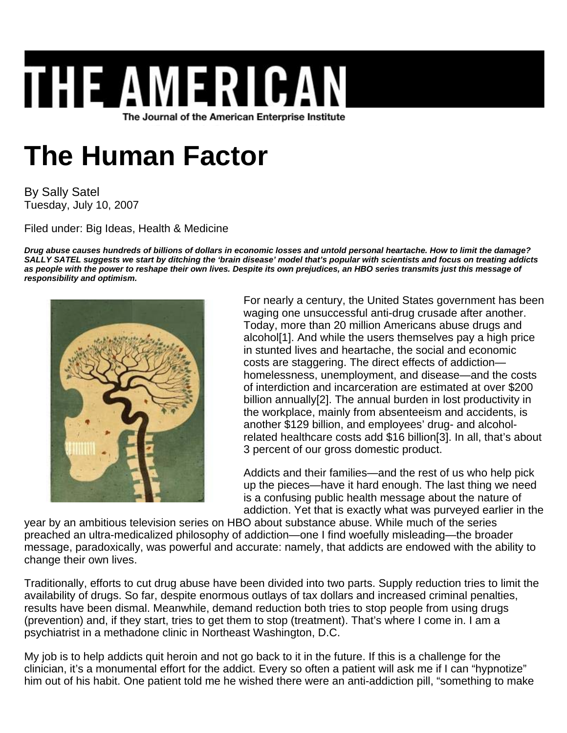## **THE AMERICA** The Journal of the American Enterprise Institute

## **The Human Factor**

By Sally Satel Tuesday, July 10, 2007

Filed under: Big Ideas, Health & Medicine

*Drug abuse causes hundreds of billions of dollars in economic losses and untold personal heartache. How to limit the damage? SALLY SATEL suggests we start by ditching the 'brain disease' model that's popular with scientists and focus on treating addicts as people with the power to reshape their own lives. Despite its own prejudices, an HBO series transmits just this message of responsibility and optimism.*



For nearly a century, the United States government has been waging one unsuccessful anti-drug crusade after another. Today, more than 20 million Americans abuse drugs and alcohol[1]. And while the users themselves pay a high price in stunted lives and heartache, the social and economic costs are staggering. The direct effects of addiction homelessness, unemployment, and disease—and the costs of interdiction and incarceration are estimated at over \$200 billion annually[2]. The annual burden in lost productivity in the workplace, mainly from absenteeism and accidents, is another \$129 billion, and employees' drug- and alcoholrelated healthcare costs add \$16 billion[3]. In all, that's about 3 percent of our gross domestic product.

Addicts and their families—and the rest of us who help pick up the pieces—have it hard enough. The last thing we need is a confusing public health message about the nature of addiction. Yet that is exactly what was purveyed earlier in the

year by an ambitious television series on HBO about substance abuse. While much of the series preached an ultra-medicalized philosophy of addiction—one I find woefully misleading—the broader message, paradoxically, was powerful and accurate: namely, that addicts are endowed with the ability to change their own lives.

Traditionally, efforts to cut drug abuse have been divided into two parts. Supply reduction tries to limit the availability of drugs. So far, despite enormous outlays of tax dollars and increased criminal penalties, results have been dismal. Meanwhile, demand reduction both tries to stop people from using drugs (prevention) and, if they start, tries to get them to stop (treatment). That's where I come in. I am a psychiatrist in a methadone clinic in Northeast Washington, D.C.

My job is to help addicts quit heroin and not go back to it in the future. If this is a challenge for the clinician, it's a monumental effort for the addict. Every so often a patient will ask me if I can "hypnotize" him out of his habit. One patient told me he wished there were an anti-addiction pill, "something to make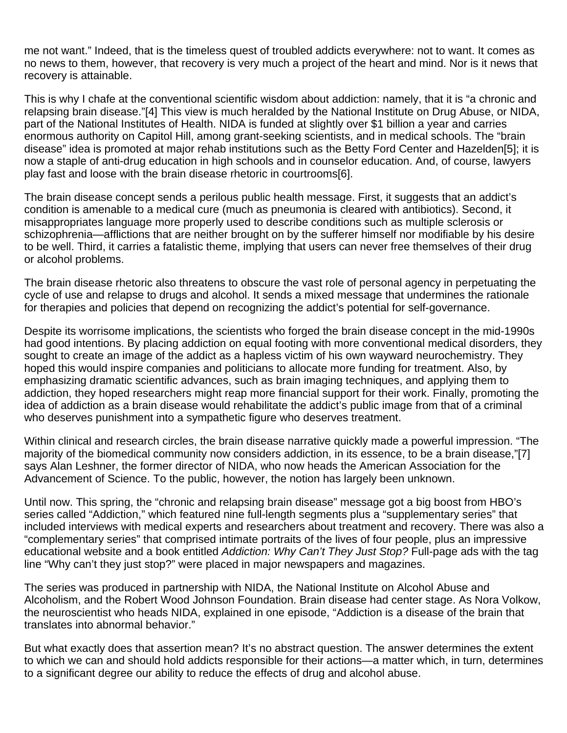me not want." Indeed, that is the timeless quest of troubled addicts everywhere: not to want. It comes as no news to them, however, that recovery is very much a project of the heart and mind. Nor is it news that recovery is attainable.

This is why I chafe at the conventional scientific wisdom about addiction: namely, that it is "a chronic and relapsing brain disease."[4] This view is much heralded by the National Institute on Drug Abuse, or NIDA, part of the National Institutes of Health. NIDA is funded at slightly over \$1 billion a year and carries enormous authority on Capitol Hill, among grant-seeking scientists, and in medical schools. The "brain disease" idea is promoted at major rehab institutions such as the Betty Ford Center and Hazelden[5]; it is now a staple of anti-drug education in high schools and in counselor education. And, of course, lawyers play fast and loose with the brain disease rhetoric in courtrooms[6].

The brain disease concept sends a perilous public health message. First, it suggests that an addict's condition is amenable to a medical cure (much as pneumonia is cleared with antibiotics). Second, it misappropriates language more properly used to describe conditions such as multiple sclerosis or schizophrenia—afflictions that are neither brought on by the sufferer himself nor modifiable by his desire to be well. Third, it carries a fatalistic theme, implying that users can never free themselves of their drug or alcohol problems.

The brain disease rhetoric also threatens to obscure the vast role of personal agency in perpetuating the cycle of use and relapse to drugs and alcohol. It sends a mixed message that undermines the rationale for therapies and policies that depend on recognizing the addict's potential for self-governance.

Despite its worrisome implications, the scientists who forged the brain disease concept in the mid-1990s had good intentions. By placing addiction on equal footing with more conventional medical disorders, they sought to create an image of the addict as a hapless victim of his own wayward neurochemistry. They hoped this would inspire companies and politicians to allocate more funding for treatment. Also, by emphasizing dramatic scientific advances, such as brain imaging techniques, and applying them to addiction, they hoped researchers might reap more financial support for their work. Finally, promoting the idea of addiction as a brain disease would rehabilitate the addict's public image from that of a criminal who deserves punishment into a sympathetic figure who deserves treatment.

Within clinical and research circles, the brain disease narrative quickly made a powerful impression. "The majority of the biomedical community now considers addiction, in its essence, to be a brain disease,"[7] says Alan Leshner, the former director of NIDA, who now heads the American Association for the Advancement of Science. To the public, however, the notion has largely been unknown.

Until now. This spring, the "chronic and relapsing brain disease" message got a big boost from HBO's series called "Addiction," which featured nine full-length segments plus a "supplementary series" that included interviews with medical experts and researchers about treatment and recovery. There was also a "complementary series" that comprised intimate portraits of the lives of four people, plus an impressive educational website and a book entitled *Addiction: Why Can't They Just Stop?* Full-page ads with the tag line "Why can't they just stop?" were placed in major newspapers and magazines.

The series was produced in partnership with NIDA, the National Institute on Alcohol Abuse and Alcoholism, and the Robert Wood Johnson Foundation. Brain disease had center stage. As Nora Volkow, the neuroscientist who heads NIDA, explained in one episode, "Addiction is a disease of the brain that translates into abnormal behavior."

But what exactly does that assertion mean? It's no abstract question. The answer determines the extent to which we can and should hold addicts responsible for their actions—a matter which, in turn, determines to a significant degree our ability to reduce the effects of drug and alcohol abuse.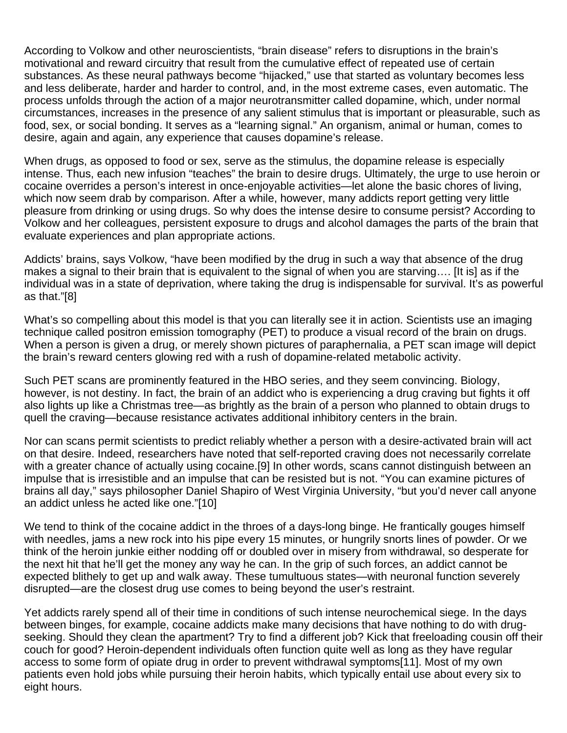According to Volkow and other neuroscientists, "brain disease" refers to disruptions in the brain's motivational and reward circuitry that result from the cumulative effect of repeated use of certain substances. As these neural pathways become "hijacked," use that started as voluntary becomes less and less deliberate, harder and harder to control, and, in the most extreme cases, even automatic. The process unfolds through the action of a major neurotransmitter called dopamine, which, under normal circumstances, increases in the presence of any salient stimulus that is important or pleasurable, such as food, sex, or social bonding. It serves as a "learning signal." An organism, animal or human, comes to desire, again and again, any experience that causes dopamine's release.

When drugs, as opposed to food or sex, serve as the stimulus, the dopamine release is especially intense. Thus, each new infusion "teaches" the brain to desire drugs. Ultimately, the urge to use heroin or cocaine overrides a person's interest in once-enjoyable activities—let alone the basic chores of living, which now seem drab by comparison. After a while, however, many addicts report getting very little pleasure from drinking or using drugs. So why does the intense desire to consume persist? According to Volkow and her colleagues, persistent exposure to drugs and alcohol damages the parts of the brain that evaluate experiences and plan appropriate actions.

Addicts' brains, says Volkow, "have been modified by the drug in such a way that absence of the drug makes a signal to their brain that is equivalent to the signal of when you are starving…. [It is] as if the individual was in a state of deprivation, where taking the drug is indispensable for survival. It's as powerful as that."[8]

What's so compelling about this model is that you can literally see it in action. Scientists use an imaging technique called positron emission tomography (PET) to produce a visual record of the brain on drugs. When a person is given a drug, or merely shown pictures of paraphernalia, a PET scan image will depict the brain's reward centers glowing red with a rush of dopamine-related metabolic activity.

Such PET scans are prominently featured in the HBO series, and they seem convincing. Biology, however, is not destiny. In fact, the brain of an addict who is experiencing a drug craving but fights it off also lights up like a Christmas tree—as brightly as the brain of a person who planned to obtain drugs to quell the craving—because resistance activates additional inhibitory centers in the brain.

Nor can scans permit scientists to predict reliably whether a person with a desire-activated brain will act on that desire. Indeed, researchers have noted that self-reported craving does not necessarily correlate with a greater chance of actually using cocaine.[9] In other words, scans cannot distinguish between an impulse that is irresistible and an impulse that can be resisted but is not. "You can examine pictures of brains all day," says philosopher Daniel Shapiro of West Virginia University, "but you'd never call anyone an addict unless he acted like one."[10]

We tend to think of the cocaine addict in the throes of a days-long binge. He frantically gouges himself with needles, jams a new rock into his pipe every 15 minutes, or hungrily snorts lines of powder. Or we think of the heroin junkie either nodding off or doubled over in misery from withdrawal, so desperate for the next hit that he'll get the money any way he can. In the grip of such forces, an addict cannot be expected blithely to get up and walk away. These tumultuous states—with neuronal function severely disrupted—are the closest drug use comes to being beyond the user's restraint.

Yet addicts rarely spend all of their time in conditions of such intense neurochemical siege. In the days between binges, for example, cocaine addicts make many decisions that have nothing to do with drugseeking. Should they clean the apartment? Try to find a different job? Kick that freeloading cousin off their couch for good? Heroin-dependent individuals often function quite well as long as they have regular access to some form of opiate drug in order to prevent withdrawal symptoms[11]. Most of my own patients even hold jobs while pursuing their heroin habits, which typically entail use about every six to eight hours.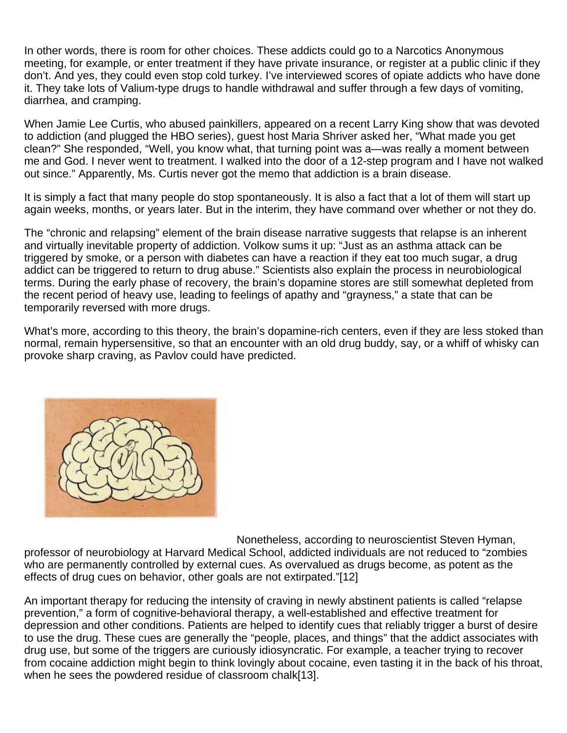In other words, there is room for other choices. These addicts could go to a Narcotics Anonymous meeting, for example, or enter treatment if they have private insurance, or register at a public clinic if they don't. And yes, they could even stop cold turkey. I've interviewed scores of opiate addicts who have done it. They take lots of Valium-type drugs to handle withdrawal and suffer through a few days of vomiting, diarrhea, and cramping.

When Jamie Lee Curtis, who abused painkillers, appeared on a recent Larry King show that was devoted to addiction (and plugged the HBO series), guest host Maria Shriver asked her, "What made you get clean?" She responded, "Well, you know what, that turning point was a—was really a moment between me and God. I never went to treatment. I walked into the door of a 12-step program and I have not walked out since." Apparently, Ms. Curtis never got the memo that addiction is a brain disease.

It is simply a fact that many people do stop spontaneously. It is also a fact that a lot of them will start up again weeks, months, or years later. But in the interim, they have command over whether or not they do.

The "chronic and relapsing" element of the brain disease narrative suggests that relapse is an inherent and virtually inevitable property of addiction. Volkow sums it up: "Just as an asthma attack can be triggered by smoke, or a person with diabetes can have a reaction if they eat too much sugar, a drug addict can be triggered to return to drug abuse." Scientists also explain the process in neurobiological terms. During the early phase of recovery, the brain's dopamine stores are still somewhat depleted from the recent period of heavy use, leading to feelings of apathy and "grayness," a state that can be temporarily reversed with more drugs.

What's more, according to this theory, the brain's dopamine-rich centers, even if they are less stoked than normal, remain hypersensitive, so that an encounter with an old drug buddy, say, or a whiff of whisky can provoke sharp craving, as Pavlov could have predicted.



Nonetheless, according to neuroscientist Steven Hyman, professor of neurobiology at Harvard Medical School, addicted individuals are not reduced to "zombies who are permanently controlled by external cues. As overvalued as drugs become, as potent as the effects of drug cues on behavior, other goals are not extirpated."[12]

An important therapy for reducing the intensity of craving in newly abstinent patients is called "relapse prevention," a form of cognitive-behavioral therapy, a well-established and effective treatment for depression and other conditions. Patients are helped to identify cues that reliably trigger a burst of desire to use the drug. These cues are generally the "people, places, and things" that the addict associates with drug use, but some of the triggers are curiously idiosyncratic. For example, a teacher trying to recover from cocaine addiction might begin to think lovingly about cocaine, even tasting it in the back of his throat, when he sees the powdered residue of classroom chalk[13].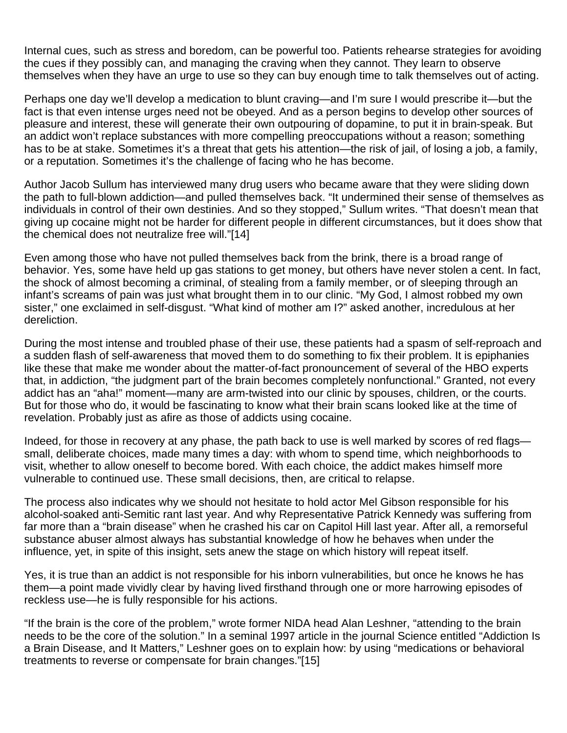Internal cues, such as stress and boredom, can be powerful too. Patients rehearse strategies for avoiding the cues if they possibly can, and managing the craving when they cannot. They learn to observe themselves when they have an urge to use so they can buy enough time to talk themselves out of acting.

Perhaps one day we'll develop a medication to blunt craving—and I'm sure I would prescribe it—but the fact is that even intense urges need not be obeyed. And as a person begins to develop other sources of pleasure and interest, these will generate their own outpouring of dopamine, to put it in brain-speak. But an addict won't replace substances with more compelling preoccupations without a reason; something has to be at stake. Sometimes it's a threat that gets his attention—the risk of jail, of losing a job, a family, or a reputation. Sometimes it's the challenge of facing who he has become.

Author Jacob Sullum has interviewed many drug users who became aware that they were sliding down the path to full-blown addiction—and pulled themselves back. "It undermined their sense of themselves as individuals in control of their own destinies. And so they stopped," Sullum writes. "That doesn't mean that giving up cocaine might not be harder for different people in different circumstances, but it does show that the chemical does not neutralize free will."[14]

Even among those who have not pulled themselves back from the brink, there is a broad range of behavior. Yes, some have held up gas stations to get money, but others have never stolen a cent. In fact, the shock of almost becoming a criminal, of stealing from a family member, or of sleeping through an infant's screams of pain was just what brought them in to our clinic. "My God, I almost robbed my own sister," one exclaimed in self-disgust. "What kind of mother am I?" asked another, incredulous at her dereliction.

During the most intense and troubled phase of their use, these patients had a spasm of self-reproach and a sudden flash of self-awareness that moved them to do something to fix their problem. It is epiphanies like these that make me wonder about the matter-of-fact pronouncement of several of the HBO experts that, in addiction, "the judgment part of the brain becomes completely nonfunctional." Granted, not every addict has an "aha!" moment—many are arm-twisted into our clinic by spouses, children, or the courts. But for those who do, it would be fascinating to know what their brain scans looked like at the time of revelation. Probably just as afire as those of addicts using cocaine.

Indeed, for those in recovery at any phase, the path back to use is well marked by scores of red flags small, deliberate choices, made many times a day: with whom to spend time, which neighborhoods to visit, whether to allow oneself to become bored. With each choice, the addict makes himself more vulnerable to continued use. These small decisions, then, are critical to relapse.

The process also indicates why we should not hesitate to hold actor Mel Gibson responsible for his alcohol-soaked anti-Semitic rant last year. And why Representative Patrick Kennedy was suffering from far more than a "brain disease" when he crashed his car on Capitol Hill last year. After all, a remorseful substance abuser almost always has substantial knowledge of how he behaves when under the influence, yet, in spite of this insight, sets anew the stage on which history will repeat itself.

Yes, it is true than an addict is not responsible for his inborn vulnerabilities, but once he knows he has them—a point made vividly clear by having lived firsthand through one or more harrowing episodes of reckless use—he is fully responsible for his actions.

"If the brain is the core of the problem," wrote former NIDA head Alan Leshner, "attending to the brain needs to be the core of the solution." In a seminal 1997 article in the journal Science entitled "Addiction Is a Brain Disease, and It Matters," Leshner goes on to explain how: by using "medications or behavioral treatments to reverse or compensate for brain changes."[15]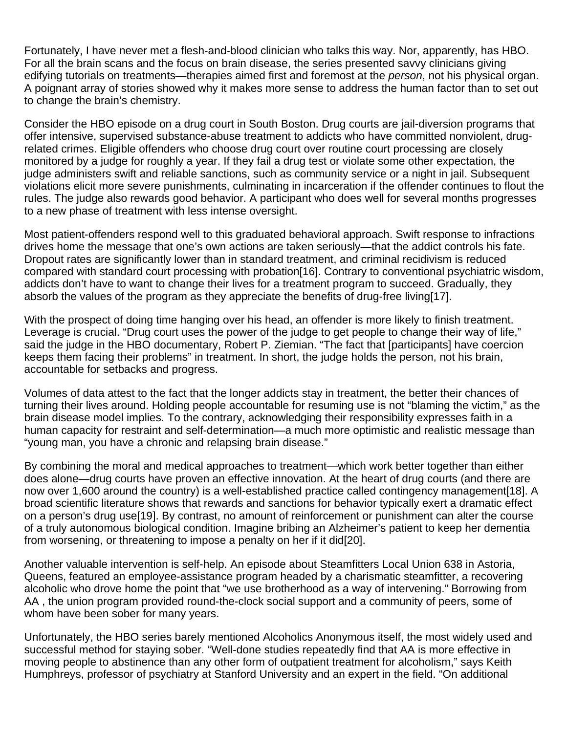Fortunately, I have never met a flesh-and-blood clinician who talks this way. Nor, apparently, has HBO. For all the brain scans and the focus on brain disease, the series presented savvy clinicians giving edifying tutorials on treatments—therapies aimed first and foremost at the *person*, not his physical organ. A poignant array of stories showed why it makes more sense to address the human factor than to set out to change the brain's chemistry.

Consider the HBO episode on a drug court in South Boston. Drug courts are jail-diversion programs that offer intensive, supervised substance-abuse treatment to addicts who have committed nonviolent, drugrelated crimes. Eligible offenders who choose drug court over routine court processing are closely monitored by a judge for roughly a year. If they fail a drug test or violate some other expectation, the judge administers swift and reliable sanctions, such as community service or a night in jail. Subsequent violations elicit more severe punishments, culminating in incarceration if the offender continues to flout the rules. The judge also rewards good behavior. A participant who does well for several months progresses to a new phase of treatment with less intense oversight.

Most patient-offenders respond well to this graduated behavioral approach. Swift response to infractions drives home the message that one's own actions are taken seriously—that the addict controls his fate. Dropout rates are significantly lower than in standard treatment, and criminal recidivism is reduced compared with standard court processing with probation[16]. Contrary to conventional psychiatric wisdom, addicts don't have to want to change their lives for a treatment program to succeed. Gradually, they absorb the values of the program as they appreciate the benefits of drug-free living[17].

With the prospect of doing time hanging over his head, an offender is more likely to finish treatment. Leverage is crucial. "Drug court uses the power of the judge to get people to change their way of life," said the judge in the HBO documentary, Robert P. Ziemian. "The fact that [participants] have coercion keeps them facing their problems" in treatment. In short, the judge holds the person, not his brain, accountable for setbacks and progress.

Volumes of data attest to the fact that the longer addicts stay in treatment, the better their chances of turning their lives around. Holding people accountable for resuming use is not "blaming the victim," as the brain disease model implies. To the contrary, acknowledging their responsibility expresses faith in a human capacity for restraint and self-determination—a much more optimistic and realistic message than "young man, you have a chronic and relapsing brain disease."

By combining the moral and medical approaches to treatment—which work better together than either does alone—drug courts have proven an effective innovation. At the heart of drug courts (and there are now over 1,600 around the country) is a well-established practice called contingency management[18]. A broad scientific literature shows that rewards and sanctions for behavior typically exert a dramatic effect on a person's drug use[19]. By contrast, no amount of reinforcement or punishment can alter the course of a truly autonomous biological condition. Imagine bribing an Alzheimer's patient to keep her dementia from worsening, or threatening to impose a penalty on her if it did[20].

Another valuable intervention is self-help. An episode about Steamfitters Local Union 638 in Astoria, Queens, featured an employee-assistance program headed by a charismatic steamfitter, a recovering alcoholic who drove home the point that "we use brotherhood as a way of intervening." Borrowing from AA , the union program provided round-the-clock social support and a community of peers, some of whom have been sober for many years.

Unfortunately, the HBO series barely mentioned Alcoholics Anonymous itself, the most widely used and successful method for staying sober. "Well-done studies repeatedly find that AA is more effective in moving people to abstinence than any other form of outpatient treatment for alcoholism," says Keith Humphreys, professor of psychiatry at Stanford University and an expert in the field. "On additional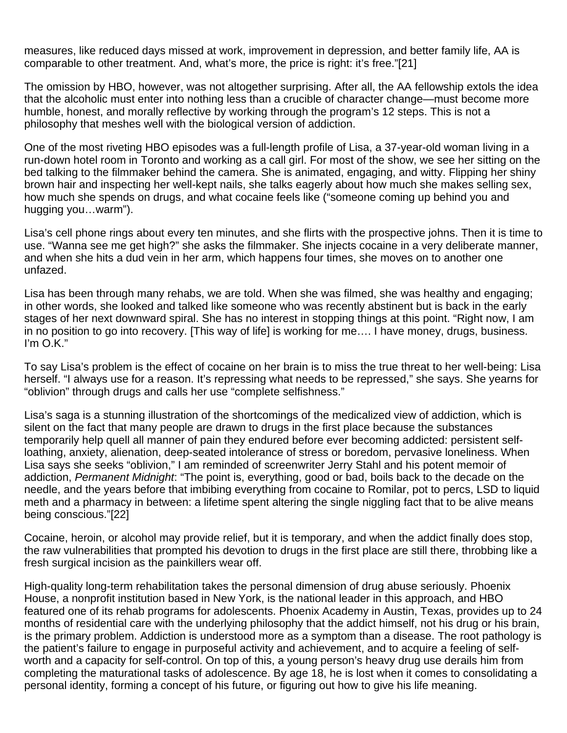measures, like reduced days missed at work, improvement in depression, and better family life, AA is comparable to other treatment. And, what's more, the price is right: it's free."[21]

The omission by HBO, however, was not altogether surprising. After all, the AA fellowship extols the idea that the alcoholic must enter into nothing less than a crucible of character change—must become more humble, honest, and morally reflective by working through the program's 12 steps. This is not a philosophy that meshes well with the biological version of addiction.

One of the most riveting HBO episodes was a full-length profile of Lisa, a 37-year-old woman living in a run-down hotel room in Toronto and working as a call girl. For most of the show, we see her sitting on the bed talking to the filmmaker behind the camera. She is animated, engaging, and witty. Flipping her shiny brown hair and inspecting her well-kept nails, she talks eagerly about how much she makes selling sex, how much she spends on drugs, and what cocaine feels like ("someone coming up behind you and hugging you…warm").

Lisa's cell phone rings about every ten minutes, and she flirts with the prospective johns. Then it is time to use. "Wanna see me get high?" she asks the filmmaker. She injects cocaine in a very deliberate manner, and when she hits a dud vein in her arm, which happens four times, she moves on to another one unfazed.

Lisa has been through many rehabs, we are told. When she was filmed, she was healthy and engaging; in other words, she looked and talked like someone who was recently abstinent but is back in the early stages of her next downward spiral. She has no interest in stopping things at this point. "Right now, I am in no position to go into recovery. [This way of life] is working for me…. I have money, drugs, business. I'm O.K."

To say Lisa's problem is the effect of cocaine on her brain is to miss the true threat to her well-being: Lisa herself. "I always use for a reason. It's repressing what needs to be repressed," she says. She yearns for "oblivion" through drugs and calls her use "complete selfishness."

Lisa's saga is a stunning illustration of the shortcomings of the medicalized view of addiction, which is silent on the fact that many people are drawn to drugs in the first place because the substances temporarily help quell all manner of pain they endured before ever becoming addicted: persistent selfloathing, anxiety, alienation, deep-seated intolerance of stress or boredom, pervasive loneliness. When Lisa says she seeks "oblivion," I am reminded of screenwriter Jerry Stahl and his potent memoir of addiction, *Permanent Midnight*: "The point is, everything, good or bad, boils back to the decade on the needle, and the years before that imbibing everything from cocaine to Romilar, pot to percs, LSD to liquid meth and a pharmacy in between: a lifetime spent altering the single niggling fact that to be alive means being conscious."[22]

Cocaine, heroin, or alcohol may provide relief, but it is temporary, and when the addict finally does stop, the raw vulnerabilities that prompted his devotion to drugs in the first place are still there, throbbing like a fresh surgical incision as the painkillers wear off.

High-quality long-term rehabilitation takes the personal dimension of drug abuse seriously. Phoenix House, a nonprofit institution based in New York, is the national leader in this approach, and HBO featured one of its rehab programs for adolescents. Phoenix Academy in Austin, Texas, provides up to 24 months of residential care with the underlying philosophy that the addict himself, not his drug or his brain, is the primary problem. Addiction is understood more as a symptom than a disease. The root pathology is the patient's failure to engage in purposeful activity and achievement, and to acquire a feeling of selfworth and a capacity for self-control. On top of this, a young person's heavy drug use derails him from completing the maturational tasks of adolescence. By age 18, he is lost when it comes to consolidating a personal identity, forming a concept of his future, or figuring out how to give his life meaning.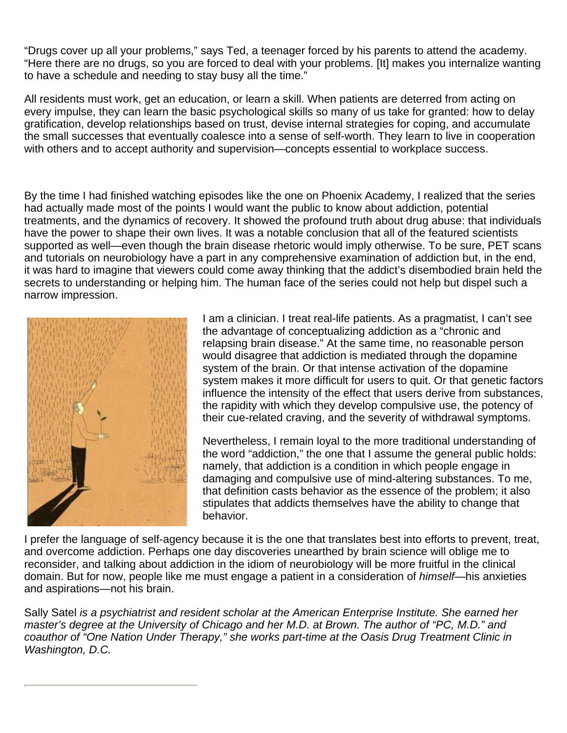"Drugs cover up all your problems," says Ted, a teenager forced by his parents to attend the academy. "Here there are no drugs, so you are forced to deal with your problems. [It] makes you internalize wanting to have a schedule and needing to stay busy all the time."

All residents must work, get an education, or learn a skill. When patients are deterred from acting on every impulse, they can learn the basic psychological skills so many of us take for granted: how to delay gratification, develop relationships based on trust, devise internal strategies for coping, and accumulate the small successes that eventually coalesce into a sense of self-worth. They learn to live in cooperation with others and to accept authority and supervision—concepts essential to workplace success.

By the time I had finished watching episodes like the one on Phoenix Academy, I realized that the series had actually made most of the points I would want the public to know about addiction, potential treatments, and the dynamics of recovery. It showed the profound truth about drug abuse: that individuals have the power to shape their own lives. It was a notable conclusion that all of the featured scientists supported as well—even though the brain disease rhetoric would imply otherwise. To be sure, PET scans and tutorials on neurobiology have a part in any comprehensive examination of addiction but, in the end, it was hard to imagine that viewers could come away thinking that the addict's disembodied brain held the secrets to understanding or helping him. The human face of the series could not help but dispel such a narrow impression.



I am a clinician. I treat real-life patients. As a pragmatist, I can't see the advantage of conceptualizing addiction as a "chronic and relapsing brain disease." At the same time, no reasonable person would disagree that addiction is mediated through the dopamine system of the brain. Or that intense activation of the dopamine system makes it more difficult for users to quit. Or that genetic factors influence the intensity of the effect that users derive from substances, the rapidity with which they develop compulsive use, the potency of their cue-related craving, and the severity of withdrawal symptoms.

Nevertheless, I remain loyal to the more traditional understanding of the word "addiction," the one that I assume the general public holds: namely, that addiction is a condition in which people engage in damaging and compulsive use of mind-altering substances. To me, that definition casts behavior as the essence of the problem; it also stipulates that addicts themselves have the ability to change that behavior.

I prefer the language of self-agency because it is the one that translates best into efforts to prevent, treat, and overcome addiction. Perhaps one day discoveries unearthed by brain science will oblige me to reconsider, and talking about addiction in the idiom of neurobiology will be more fruitful in the clinical domain. But for now, people like me must engage a patient in a consideration of *himself*—his anxieties and aspirations—not his brain.

Sally Satel *is a psychiatrist and resident scholar at the American Enterprise Institute. She earned her master's degree at the University of Chicago and her M.D. at Brown. The author of "PC, M.D." and coauthor of "One Nation Under Therapy," she works part-time at the Oasis Drug Treatment Clinic in Washington, D.C.*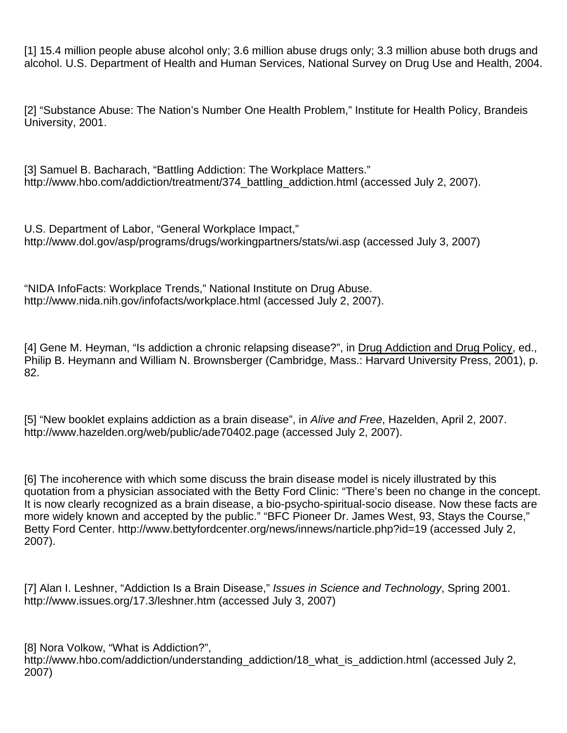[1] 15.4 million people abuse alcohol only; 3.6 million abuse drugs only; 3.3 million abuse both drugs and alcohol. U.S. Department of Health and Human Services, National Survey on Drug Use and Health, 2004.

[2] "Substance Abuse: The Nation's Number One Health Problem," Institute for Health Policy, Brandeis University, 2001.

[3] Samuel B. Bacharach, "Battling Addiction: The Workplace Matters." http://www.hbo.com/addiction/treatment/374 battling addiction.html (accessed July 2, 2007).

U.S. Department of Labor, "General Workplace Impact," http://www.dol.gov/asp/programs/drugs/workingpartners/stats/wi.asp (accessed July 3, 2007)

"NIDA InfoFacts: Workplace Trends," National Institute on Drug Abuse. http://www.nida.nih.gov/infofacts/workplace.html (accessed July 2, 2007).

[4] Gene M. Heyman, "Is addiction a chronic relapsing disease?", in Drug Addiction and Drug Policy, ed., Philip B. Heymann and William N. Brownsberger (Cambridge, Mass.: Harvard University Press, 2001), p. 82.

[5] "New booklet explains addiction as a brain disease", in *Alive and Free*, Hazelden, April 2, 2007. http://www.hazelden.org/web/public/ade70402.page (accessed July 2, 2007).

[6] The incoherence with which some discuss the brain disease model is nicely illustrated by this quotation from a physician associated with the Betty Ford Clinic: "There's been no change in the concept. It is now clearly recognized as a brain disease, a bio-psycho-spiritual-socio disease. Now these facts are more widely known and accepted by the public." "BFC Pioneer Dr. James West, 93, Stays the Course," Betty Ford Center. http://www.bettyfordcenter.org/news/innews/narticle.php?id=19 (accessed July 2, 2007).

[7] Alan I. Leshner, "Addiction Is a Brain Disease," *Issues in Science and Technology*, Spring 2001. http://www.issues.org/17.3/leshner.htm (accessed July 3, 2007)

[8] Nora Volkow, "What is Addiction?", http://www.hbo.com/addiction/understanding\_addiction/18\_what\_is\_addiction.html (accessed July 2, 2007)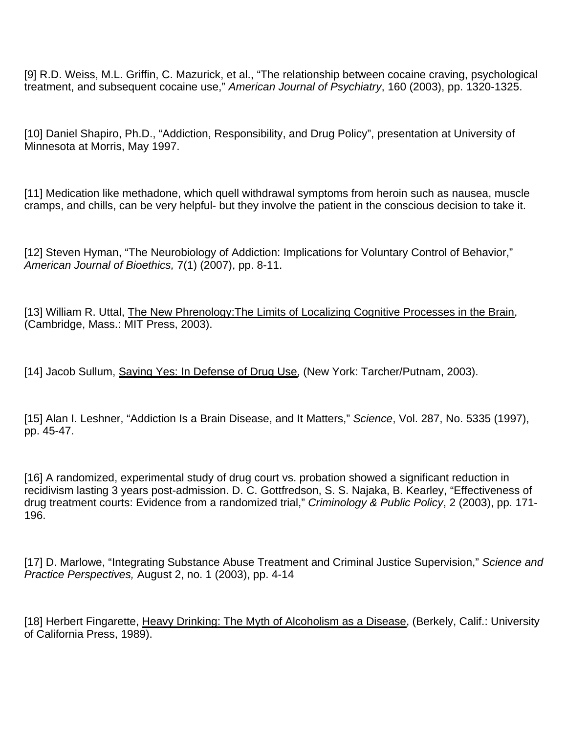[9] R.D. Weiss, M.L. Griffin, C. Mazurick, et al., "The relationship between cocaine craving, psychological treatment, and subsequent cocaine use," *American Journal of Psychiatry*, 160 (2003), pp. 1320-1325.

[10] Daniel Shapiro, Ph.D., "Addiction, Responsibility, and Drug Policy", presentation at University of Minnesota at Morris, May 1997.

[11] Medication like methadone, which quell withdrawal symptoms from heroin such as nausea, muscle cramps, and chills, can be very helpful- but they involve the patient in the conscious decision to take it.

[12] Steven Hyman, "The Neurobiology of Addiction: Implications for Voluntary Control of Behavior," *American Journal of Bioethics,* 7(1) (2007), pp. 8-11.

[13] William R. Uttal, The New Phrenology: The Limits of Localizing Cognitive Processes in the Brain, (Cambridge, Mass.: MIT Press, 2003).

[14] Jacob Sullum, Saying Yes: In Defense of Drug Use, (New York: Tarcher/Putnam, 2003).

[15] Alan I. Leshner, "Addiction Is a Brain Disease, and It Matters," *Science*, Vol. 287, No. 5335 (1997), pp. 45-47.

[16] A randomized, experimental study of drug court vs. probation showed a significant reduction in recidivism lasting 3 years post-admission. D. C. Gottfredson, S. S. Najaka, B. Kearley, "Effectiveness of drug treatment courts: Evidence from a randomized trial," *Criminology & Public Policy*, 2 (2003), pp. 171- 196.

[17] D. Marlowe, "Integrating Substance Abuse Treatment and Criminal Justice Supervision," *Science and Practice Perspectives,* August 2, no. 1 (2003), pp. 4-14

[18] Herbert Fingarette, Heavy Drinking: The Myth of Alcoholism as a Disease, (Berkely, Calif.: University of California Press, 1989).